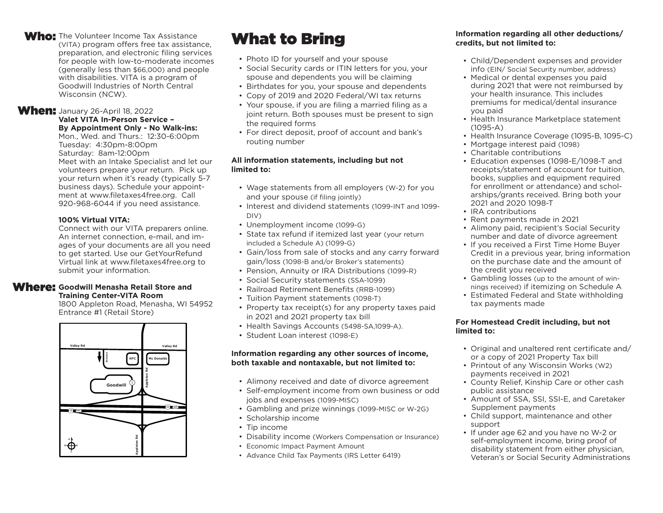#### Who: The Volunteer Income Tax Assistance (VITA) program offers free tax assistance, preparation, and electronic filing services for people with low-to-moderate incomes (generally less than \$66,000) and people with disabilities. VITA is a program of Goodwill Industries of North Central Wisconsin (NCW).

### **When:** January 26-April 18, 2022

#### **Valet VITA In-Person Service – By Appointment Only - No Walk-ins:**

Mon., Wed. and Thurs.: 12:30-6:00pm Tuesday: 4:30pm-8:00pm Saturday: 8am-12:00pm Meet with an Intake Specialist and let our volunteers prepare your return. Pick up your return when it's ready (typically 5-7 business days). Schedule your appointment at www.filetaxes4free.org. Call 920-968-6044 if you need assistance.

#### **100% Virtual VITA:**

Connect with our VITA preparers online. An internet connection, e-mail, and images of your documents are all you need to get started. Use our GetYourRefund Virtual link at www.filetaxes4free.org to submit your information.

#### Where: Goodwill Menasha Retail Store and **Training Center-VITA Room**

1800 Appleton Road, Menasha, WI 54952 Entrance #1 (Retail Store)



- Photo ID for yourself and your spouse
- Social Security cards or ITIN letters for you, your spouse and dependents you will be claiming
- Birthdates for you, your spouse and dependents
- Copy of 2019 and 2020 Federal/WI tax returns
- Your spouse, if you are filing a married filing as a joint return. Both spouses must be present to sign the required forms
- For direct deposit, proof of account and bank's routing number

#### **All information statements, including but not limited to:**

- Wage statements from all employers (W-2) for you and your spouse (if filing jointly)
- Interest and dividend statements (1099-INT and 1099- DIV)
- Unemployment income (1099-G)
- State tax refund if itemized last year (your return included a Schedule A) (1099-G)
- Gain/loss from sale of stocks and any carry forward gain/loss (1098-B and/or Broker's statements)
- Pension, Annuity or IRA Distributions (1099-R)
- Social Security statements (SSA-1099)
- Railroad Retirement Benefits (RRB-1099)
- Tuition Payment statements (1098-T)
- Property tax receipt(s) for any property taxes paid in 2021 and 2021 property tax bill
- Health Savings Accounts (5498-SA,1099-A).
- Student Loan interest (1098-E)

#### **Information regarding any other sources of income, both taxable and nontaxable, but not limited to:**

- Alimony received and date of divorce agreement
- Self-employment income from own business or odd jobs and expenses (1099-MISC)
- Gambling and prize winnings (1099-MISC or W-2G)
- Scholarship income
- Tip income
- Disability income (Workers Compensation or Insurance)
- Economic Impact Payment Amount
- Advance Child Tax Payments (IRS Letter 6419)

#### **What to Bring Community Construction** Information regarding all other deductions/ **credits, but not limited to:**

- Child/Dependent expenses and provider info (EIN/ Social Security number, address)
- Medical or dental expenses you paid during 2021 that were not reimbursed by your health insurance. This includes premiums for medical/dental insurance you paid
- Health Insurance Marketplace statement (1095-A)
- Health Insurance Coverage (1095-B, 1095-C)
- Mortgage interest paid (1098)
- Charitable contributions
- Education expenses (1098-E/1098-T and receipts/statement of account for tuition, books, supplies and equipment required for enrollment or attendance) and scholarships/grants received. Bring both your 2021 and 2020 1098-T
- IRA contributions
- Rent payments made in 2021
- Alimony paid, recipient's Social Security number and date of divorce agreement
- If you received a First Time Home Buyer Credit in a previous year, bring information on the purchase date and the amount of the credit you received
- Gambling losses (up to the amount of winnings received) if itemizing on Schedule A
- Estimated Federal and State withholding tax payments made

#### **For Homestead Credit including, but not limited to:**

- Original and unaltered rent certificate and/ or a copy of 2021 Property Tax bill
- Printout of any Wisconsin Works (W2) payments received in 2021
- County Relief, Kinship Care or other cash public assistance
- Amount of SSA, SSI, SSI-E, and Caretaker Supplement payments
- Child support, maintenance and other support
- If under age 62 and you have no W-2 or self-employment income, bring proof of disability statement from either physician, Veteran's or Social Security Administrations